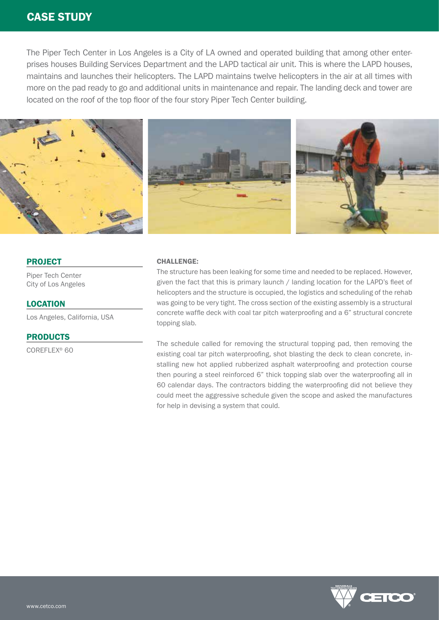# CASE STUDY

The Piper Tech Center in Los Angeles is a City of LA owned and operated building that among other enterprises houses Building Services Department and the LAPD tactical air unit. This is where the LAPD houses, maintains and launches their helicopters. The LAPD maintains twelve helicopters in the air at all times with more on the pad ready to go and additional units in maintenance and repair. The landing deck and tower are located on the roof of the top floor of the four story Piper Tech Center building.



## PROJECT

Piper Tech Center City of Los Angeles

LOCATION Los Angeles, California, USA

## PRODUCTS

COREFLEX® 60

### CHALLENGE:

The structure has been leaking for some time and needed to be replaced. However, given the fact that this is primary launch / landing location for the LAPD's fleet of helicopters and the structure is occupied, the logistics and scheduling of the rehab was going to be very tight. The cross section of the existing assembly is a structural concrete waffle deck with coal tar pitch waterproofing and a 6" structural concrete topping slab.

The schedule called for removing the structural topping pad, then removing the existing coal tar pitch waterproofing, shot blasting the deck to clean concrete, installing new hot applied rubberized asphalt waterproofing and protection course then pouring a steel reinforced 6" thick topping slab over the waterproofing all in 60 calendar days. The contractors bidding the waterproofing did not believe they could meet the aggressive schedule given the scope and asked the manufactures for help in devising a system that could.